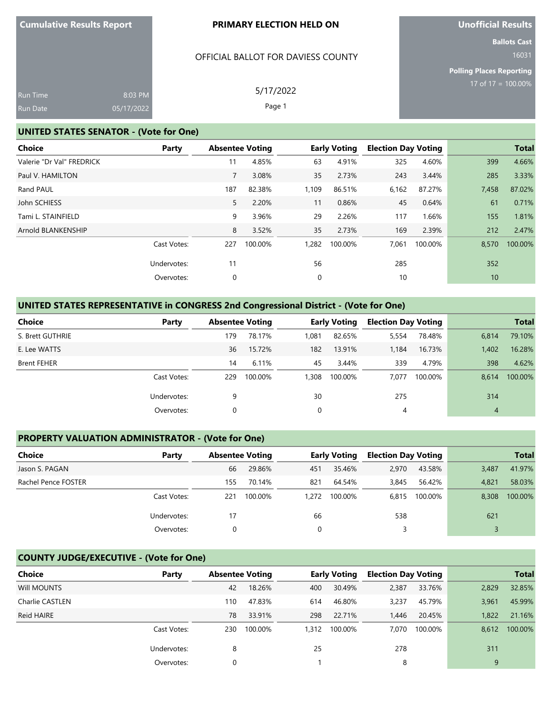#### OFFICIAL BALLOT FOR DAVIESS COUNTY

5/17/2022 Page 1

**Unofficial Results**

**Ballots Cast** 16031

**Polling Places Reporting** 17 of 17 = 100.00%

| <b>Run Time</b> | 8:03 PM    |
|-----------------|------------|
| Run Date        | 05/17/2022 |

#### **UNITED STATES SENATOR - (Vote for One)**

| Choice                    | Party       | <b>Absentee Voting</b> |         |             | <b>Early Voting</b> | <b>Election Day Voting</b> |         |       | <b>Total</b> |
|---------------------------|-------------|------------------------|---------|-------------|---------------------|----------------------------|---------|-------|--------------|
| Valerie "Dr Val" FREDRICK |             | 11                     | 4.85%   | 63          | 4.91%               | 325                        | 4.60%   | 399   | 4.66%        |
| Paul V. HAMILTON          |             | 7                      | 3.08%   | 35          | 2.73%               | 243                        | 3.44%   | 285   | 3.33%        |
| Rand PAUL                 |             | 187                    | 82.38%  | 1,109       | 86.51%              | 6,162                      | 87.27%  | 7,458 | 87.02%       |
| John SCHIESS              |             | 5                      | 2.20%   | 11          | 0.86%               | 45                         | 0.64%   | 61    | 0.71%        |
| Tami L. STAINFIELD        |             | 9                      | 3.96%   | 29          | 2.26%               | 117                        | 1.66%   | 155   | 1.81%        |
| Arnold BLANKENSHIP        |             | 8                      | 3.52%   | 35          | 2.73%               | 169                        | 2.39%   | 212   | 2.47%        |
|                           | Cast Votes: | 227                    | 100.00% | 1,282       | 100.00%             | 7,061                      | 100.00% | 8,570 | 100.00%      |
|                           | Undervotes: | 11                     |         | 56          |                     | 285                        |         | 352   |              |
|                           | Overvotes:  | 0                      |         | $\mathbf 0$ |                     | 10                         |         | 10    |              |
|                           |             |                        |         |             |                     |                            |         |       |              |

# **UNITED STATES REPRESENTATIVE in CONGRESS 2nd Congressional District - (Vote for One)**

| <b>Choice</b>      | Party       |     | <b>Absentee Voting</b> |       | <b>Early Voting</b> | <b>Election Day Voting</b> |         |                | <b>Total</b> |
|--------------------|-------------|-----|------------------------|-------|---------------------|----------------------------|---------|----------------|--------------|
| S. Brett GUTHRIE   |             | 179 | 78.17%                 | 1,081 | 82.65%              | 5,554                      | 78.48%  | 6,814          | 79.10%       |
| E. Lee WATTS       |             | 36  | 15.72%                 | 182   | 13.91%              | 1,184                      | 16.73%  | 1,402          | 16.28%       |
| <b>Brent FEHER</b> |             | 14  | 6.11%                  | 45    | 3.44%               | 339                        | 4.79%   | 398            | 4.62%        |
|                    | Cast Votes: | 229 | 100.00%                | 1.308 | 100.00%             | 7.077                      | 100.00% | 8.614          | 100.00%      |
|                    | Undervotes: | 9   |                        | 30    |                     | 275                        |         | 314            |              |
|                    | Overvotes:  | 0   |                        | 0     |                     | 4                          |         | $\overline{4}$ |              |

# **PROPERTY VALUATION ADMINISTRATOR - (Vote for One)**

| <b>Choice</b>       | Party       | <b>Absentee Voting</b> |         |       | <b>Early Voting</b> | <b>Election Day Voting</b> |         |       | <b>Total</b> |
|---------------------|-------------|------------------------|---------|-------|---------------------|----------------------------|---------|-------|--------------|
| Jason S. PAGAN      |             | 66                     | 29.86%  | 451   | 35.46%              | 2,970                      | 43.58%  | 3,487 | 41.97%       |
| Rachel Pence FOSTER |             | 155                    | 70.14%  | 821   | 64.54%              | 3,845                      | 56.42%  | 4.821 | 58.03%       |
|                     | Cast Votes: | 221                    | 100.00% | 1,272 | 100.00%             | 6.815                      | 100.00% | 8.308 | 100.00%      |
|                     | Undervotes: | 17                     |         | 66    |                     | 538                        |         | 621   |              |
|                     | Overvotes:  |                        |         | 0     |                     |                            |         |       |              |

# **COUNTY JUDGE/EXECUTIVE - (Vote for One)**

| Choice          | Party       |     | <b>Absentee Voting</b> |       | <b>Early Voting</b> | <b>Election Day Voting</b> |         |       | <b>Total</b> |
|-----------------|-------------|-----|------------------------|-------|---------------------|----------------------------|---------|-------|--------------|
| Will MOUNTS     |             | 42  | 18.26%                 | 400   | 30.49%              | 2,387                      | 33.76%  | 2,829 | 32.85%       |
| Charlie CASTLEN |             | 110 | 47.83%                 | 614   | 46.80%              | 3,237                      | 45.79%  | 3.961 | 45.99%       |
| Reid HAIRE      |             | 78  | 33.91%                 | 298   | 22.71%              | 1.446                      | 20.45%  | 1,822 | 21.16%       |
|                 | Cast Votes: | 230 | 100.00%                | 1,312 | 100.00%             | 7.070                      | 100.00% | 8.612 | 100.00%      |
|                 | Undervotes: | 8   |                        | 25    |                     | 278                        |         | 311   |              |
|                 | Overvotes:  | 0   |                        |       |                     | 8                          |         | 9     |              |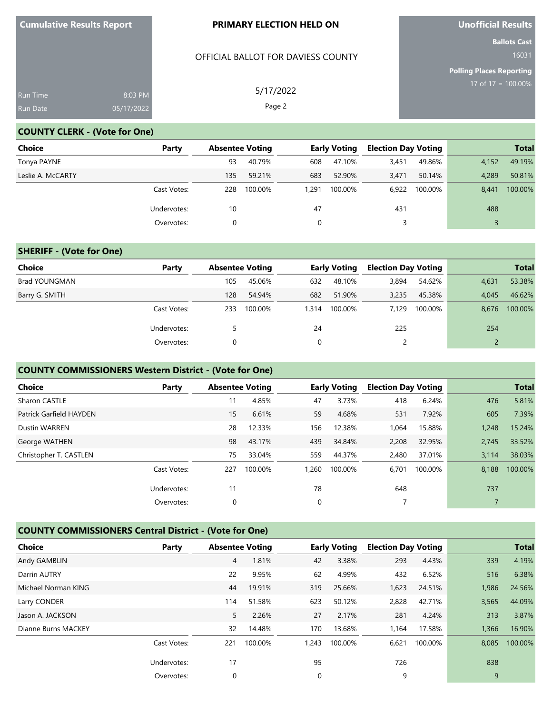#### OFFICIAL BALLOT FOR DAVIESS COUNTY

5/17/2022 Page 2

**Unofficial Results**

**Ballots Cast**

**Polling Places Reporting** 17 of 17 = 100.00%

| <b>Run Time</b> | 8:03 PM    |
|-----------------|------------|
| <b>Run Date</b> | 05/17/2022 |

#### **COUNTY CLERK - (Vote for One)**

| <b>Choice</b>     | Party       | <b>Absentee Voting</b> |         |       | <b>Early Voting</b> | <b>Election Day Voting</b> |         |       | <b>Total</b> |
|-------------------|-------------|------------------------|---------|-------|---------------------|----------------------------|---------|-------|--------------|
| Tonya PAYNE       |             | 93                     | 40.79%  | 608   | 47.10%              | 3,451                      | 49.86%  | 4.152 | 49.19%       |
| Leslie A. McCARTY |             | 135                    | 59.21%  | 683   | 52.90%              | 3.471                      | 50.14%  | 4.289 | 50.81%       |
|                   | Cast Votes: | 228                    | 100.00% | 1.291 | 100.00%             | 6.922                      | 100.00% | 8.441 | 100.00%      |
|                   | Undervotes: | 10                     |         | 47    |                     | 431                        |         | 488   |              |
|                   | Overvotes:  | 0                      |         |       |                     |                            |         |       |              |

#### **SHERIFF - (Vote for One)**

| Choice               | Party       | <b>Absentee Voting</b> |         |       | <b>Early Voting</b> | <b>Election Day Voting</b> |         |       | <b>Total</b> |
|----------------------|-------------|------------------------|---------|-------|---------------------|----------------------------|---------|-------|--------------|
| <b>Brad YOUNGMAN</b> |             | 105                    | 45.06%  | 632   | 48.10%              | 3,894                      | 54.62%  | 4,631 | 53.38%       |
| Barry G. SMITH       |             | 128                    | 54.94%  | 682   | 51.90%              | 3,235                      | 45.38%  | 4.045 | 46.62%       |
|                      | Cast Votes: | 233                    | 100.00% | 1.314 | 100.00%             | 7.129                      | 100.00% | 8.676 | 100.00%      |
|                      | Undervotes: |                        |         | 24    |                     | 225                        |         | 254   |              |
|                      | Overvotes:  |                        |         | 0     |                     |                            |         |       |              |

### **COUNTY COMMISSIONERS Western District - (Vote for One)**

| <b>Total</b> |
|--------------|
| 5.81%        |
| 7.39%        |
| 15.24%       |
| 33.52%       |
| 38.03%       |
| 100.00%      |
|              |
|              |
|              |

# **COUNTY COMMISSIONERS Central District - (Vote for One)**

| <b>Choice</b>       | Party       | <b>Absentee Voting</b> |         |       | <b>Early Voting</b> | <b>Election Day Voting</b> |         |       | <b>Total</b> |
|---------------------|-------------|------------------------|---------|-------|---------------------|----------------------------|---------|-------|--------------|
| Andy GAMBLIN        |             | 4                      | 1.81%   | 42    | 3.38%               | 293                        | 4.43%   | 339   | 4.19%        |
| Darrin AUTRY        |             | 22                     | 9.95%   | 62    | 4.99%               | 432                        | 6.52%   | 516   | 6.38%        |
| Michael Norman KING |             | 44                     | 19.91%  | 319   | 25.66%              | 1,623                      | 24.51%  | 1,986 | 24.56%       |
| Larry CONDER        |             | 114                    | 51.58%  | 623   | 50.12%              | 2,828                      | 42.71%  | 3,565 | 44.09%       |
| Jason A. JACKSON    |             | 5                      | 2.26%   | 27    | 2.17%               | 281                        | 4.24%   | 313   | 3.87%        |
| Dianne Burns MACKEY |             | 32                     | 14.48%  | 170   | 13.68%              | 1.164                      | 17.58%  | 1,366 | 16.90%       |
|                     | Cast Votes: | 221                    | 100.00% | 1.243 | 100.00%             | 6,621                      | 100.00% | 8,085 | 100.00%      |
|                     | Undervotes: | 17                     |         | 95    |                     | 726                        |         | 838   |              |
|                     | Overvotes:  | 0                      |         | 0     |                     | 9                          |         | 9     |              |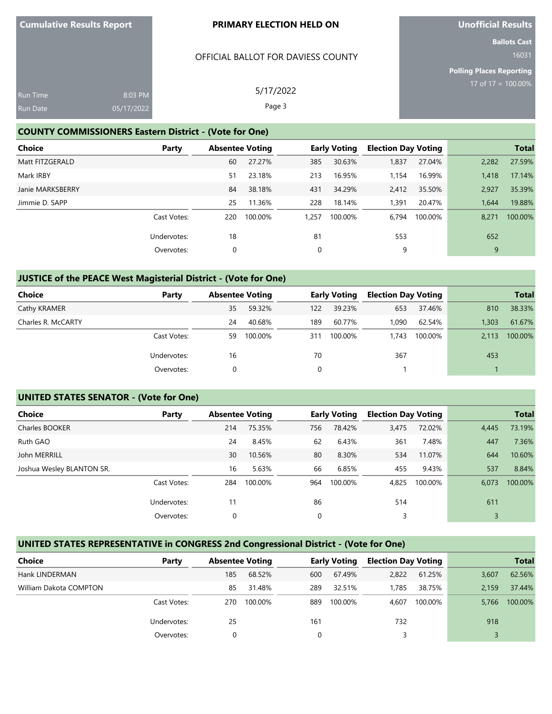#### OFFICIAL BALLOT FOR DAVIESS COUNTY

# **Unofficial Results**

**Ballots Cast** 16031

**Polling Places Reporting**

| Run Time<br><b>Run Date</b> | 8:03 PM<br>05/17/2022 | 5/17/2022<br>Page 3 | 17 of $17 = 100$ |
|-----------------------------|-----------------------|---------------------|------------------|
|                             |                       |                     |                  |

## **COUNTY COMMISSIONERS Eastern District - (Vote for One)**

| <b>Choice</b><br>Party |     | <b>Absentee Voting</b> |       | <b>Early Voting</b> | <b>Election Day Voting</b> |         |       | <b>Total</b> |
|------------------------|-----|------------------------|-------|---------------------|----------------------------|---------|-------|--------------|
| Matt FITZGERALD        | 60  | 27.27%                 | 385   | 30.63%              | 1,837                      | 27.04%  | 2,282 | 27.59%       |
| Mark IRBY              | 51  | 23.18%                 | 213   | 16.95%              | 1,154                      | 16.99%  | 1,418 | 17.14%       |
| Janie MARKSBERRY       | 84  | 38.18%                 | 431   | 34.29%              | 2.412                      | 35.50%  | 2,927 | 35.39%       |
| Jimmie D. SAPP         | 25  | 11.36%                 | 228   | 18.14%              | 1,391                      | 20.47%  | 1.644 | 19.88%       |
| Cast Votes:            | 220 | 100.00%                | 1.257 | 100.00%             | 6.794                      | 100.00% | 8.271 | 100.00%      |
| Undervotes:            | 18  |                        | 81    |                     | 553                        |         | 652   |              |
| Overvotes:             | 0   |                        | 0     |                     | 9                          |         | 9     |              |

# **JUSTICE of the PEACE West Magisterial District - (Vote for One)**

| Choice             | Party       |    | <b>Absentee Voting</b> |     | <b>Early Voting</b> | <b>Election Day Voting</b> |         |       | <b>Total</b> |
|--------------------|-------------|----|------------------------|-----|---------------------|----------------------------|---------|-------|--------------|
| Cathy KRAMER       |             | 35 | 59.32%                 | 122 | 39.23%              | 653                        | 37.46%  | 810   | 38.33%       |
| Charles R. McCARTY |             | 24 | 40.68%                 | 189 | 60.77%              | 1.090                      | 62.54%  | 1.303 | 61.67%       |
|                    | Cast Votes: | 59 | 100.00%                | 311 | 100.00%             | .743                       | 100.00% | 2.113 | 100.00%      |
|                    | Undervotes: | 16 |                        | 70  |                     | 367                        |         | 453   |              |
|                    | Overvotes:  | 0  |                        | 0   |                     |                            |         |       |              |

# **UNITED STATES SENATOR - (Vote for One)**

| <b>Choice</b>             | Party       | <b>Absentee Voting</b> |         |     | <b>Early Voting</b> | <b>Election Day Voting</b> |         |       | <b>Total</b> |
|---------------------------|-------------|------------------------|---------|-----|---------------------|----------------------------|---------|-------|--------------|
| Charles BOOKER            |             | 214                    | 75.35%  | 756 | 78.42%              | 3,475                      | 72.02%  | 4,445 | 73.19%       |
| Ruth GAO                  |             | 24                     | 8.45%   | 62  | 6.43%               | 361                        | 7.48%   | 447   | 7.36%        |
| John MERRILL              |             | 30                     | 10.56%  | 80  | 8.30%               | 534                        | 11.07%  | 644   | 10.60%       |
| Joshua Wesley BLANTON SR. |             | 16                     | 5.63%   | 66  | 6.85%               | 455                        | 9.43%   | 537   | 8.84%        |
|                           | Cast Votes: | 284                    | 100.00% | 964 | 100.00%             | 4,825                      | 100.00% | 6,073 | 100.00%      |
|                           | Undervotes: | 11                     |         | 86  |                     | 514                        |         | 611   |              |
|                           | Overvotes:  | 0                      |         | 0   |                     |                            |         |       |              |

# **UNITED STATES REPRESENTATIVE in CONGRESS 2nd Congressional District - (Vote for One)**

| Choice                 | Party       | <b>Absentee Voting</b> |         | Early Voting |         | <b>Election Day Voting</b> |         | <b>Total</b> |         |
|------------------------|-------------|------------------------|---------|--------------|---------|----------------------------|---------|--------------|---------|
| Hank LINDERMAN         |             | 185                    | 68.52%  | 600          | 67.49%  | 2,822                      | 61.25%  | 3,607        | 62.56%  |
| William Dakota COMPTON |             | 85                     | 31.48%  | 289          | 32.51%  | 1.785                      | 38.75%  | 2.159        | 37.44%  |
|                        | Cast Votes: | 270                    | 100.00% | 889          | 100.00% | 4.607                      | 100.00% | 5.766        | 100.00% |
|                        | Undervotes: | 25                     |         | 161          |         | 732                        |         | 918          |         |
|                        | Overvotes:  |                        |         |              |         |                            |         |              |         |